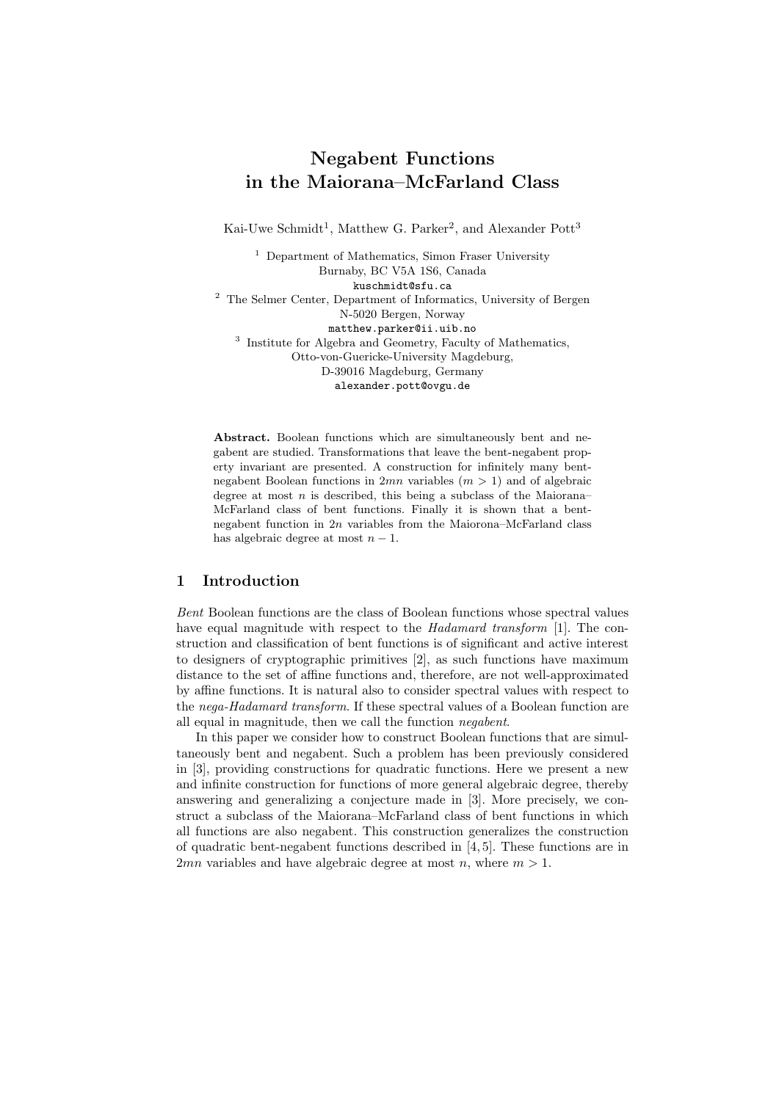# Negabent Functions in the Maiorana–McFarland Class

Kai-Uwe Schmidt<sup>1</sup>, Matthew G. Parker<sup>2</sup>, and Alexander Pott<sup>3</sup>

<sup>1</sup> Department of Mathematics, Simon Fraser University Burnaby, BC V5A 1S6, Canada kuschmidt@sfu.ca <sup>2</sup> The Selmer Center, Department of Informatics, University of Bergen N-5020 Bergen, Norway matthew.parker@ii.uib.no <sup>3</sup> Institute for Algebra and Geometry, Faculty of Mathematics, Otto-von-Guericke-University Magdeburg, D-39016 Magdeburg, Germany alexander.pott@ovgu.de

Abstract. Boolean functions which are simultaneously bent and negabent are studied. Transformations that leave the bent-negabent property invariant are presented. A construction for infinitely many bentnegabent Boolean functions in  $2mn$  variables  $(m > 1)$  and of algebraic degree at most  $n$  is described, this being a subclass of the Maiorana– McFarland class of bent functions. Finally it is shown that a bentnegabent function in 2n variables from the Maiorona–McFarland class has algebraic degree at most  $n - 1$ .

## 1 Introduction

Bent Boolean functions are the class of Boolean functions whose spectral values have equal magnitude with respect to the *Hadamard transform* [1]. The construction and classification of bent functions is of significant and active interest to designers of cryptographic primitives [2], as such functions have maximum distance to the set of affine functions and, therefore, are not well-approximated by affine functions. It is natural also to consider spectral values with respect to the nega-Hadamard transform. If these spectral values of a Boolean function are all equal in magnitude, then we call the function negabent.

In this paper we consider how to construct Boolean functions that are simultaneously bent and negabent. Such a problem has been previously considered in [3], providing constructions for quadratic functions. Here we present a new and infinite construction for functions of more general algebraic degree, thereby answering and generalizing a conjecture made in [3]. More precisely, we construct a subclass of the Maiorana–McFarland class of bent functions in which all functions are also negabent. This construction generalizes the construction of quadratic bent-negabent functions described in [4, 5]. These functions are in 2mn variables and have algebraic degree at most n, where  $m > 1$ .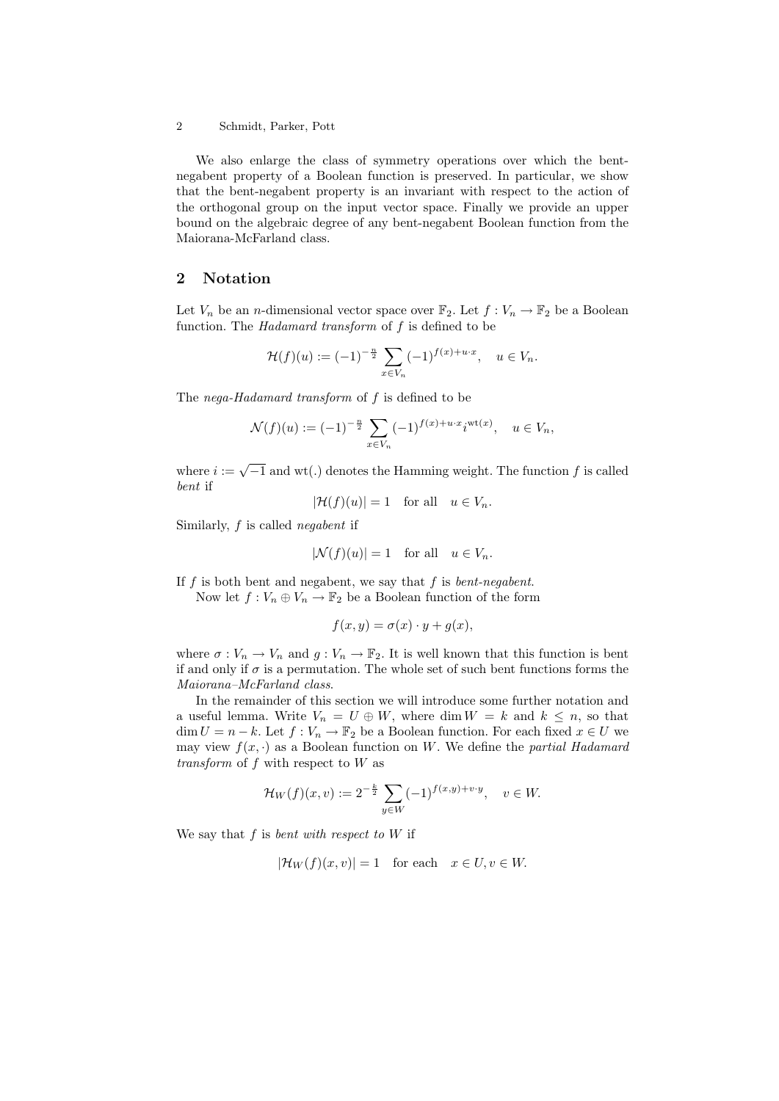We also enlarge the class of symmetry operations over which the bentnegabent property of a Boolean function is preserved. In particular, we show that the bent-negabent property is an invariant with respect to the action of the orthogonal group on the input vector space. Finally we provide an upper bound on the algebraic degree of any bent-negabent Boolean function from the Maiorana-McFarland class.

#### 2 Notation

Let  $V_n$  be an *n*-dimensional vector space over  $\mathbb{F}_2$ . Let  $f: V_n \to \mathbb{F}_2$  be a Boolean function. The Hadamard transform of f is defined to be

$$
\mathcal{H}(f)(u) := (-1)^{-\frac{n}{2}} \sum_{x \in V_n} (-1)^{f(x) + u \cdot x}, \quad u \in V_n.
$$

The *nega-Hadamard transform* of f is defined to be

$$
\mathcal{N}(f)(u) := (-1)^{-\frac{n}{2}} \sum_{x \in V_n} (-1)^{f(x) + u \cdot x} i^{\text{wt}(x)}, \quad u \in V_n,
$$

where  $i := \sqrt{-1}$  and wt(.) denotes the Hamming weight. The function f is called bent if

 $|\mathcal{H}(f)(u)| = 1$  for all  $u \in V_n$ .

Similarly, f is called negabent if

$$
|\mathcal{N}(f)(u)| = 1 \quad \text{for all} \quad u \in V_n.
$$

If  $f$  is both bent and negabent, we say that  $f$  is *bent-negabent*.

Now let  $f: V_n \oplus V_n \to \mathbb{F}_2$  be a Boolean function of the form

$$
f(x,y) = \sigma(x) \cdot y + g(x),
$$

where  $\sigma: V_n \to V_n$  and  $g: V_n \to \mathbb{F}_2$ . It is well known that this function is bent if and only if  $\sigma$  is a permutation. The whole set of such bent functions forms the Maiorana–McFarland class.

In the remainder of this section we will introduce some further notation and a useful lemma. Write  $V_n = U \oplus W$ , where dim  $W = k$  and  $k \leq n$ , so that  $\dim U = n - k$ . Let  $f: V_n \to \mathbb{F}_2$  be a Boolean function. For each fixed  $x \in U$  we may view  $f(x, \cdot)$  as a Boolean function on W. We define the partial Hadamard transform of f with respect to W as

$$
\mathcal{H}_W(f)(x,v) := 2^{-\frac{k}{2}} \sum_{y \in W} (-1)^{f(x,y) + v \cdot y}, \quad v \in W.
$$

We say that f is bent with respect to  $W$  if

 $|\mathcal{H}_W(f)(x, v)| = 1$  for each  $x \in U, v \in W$ .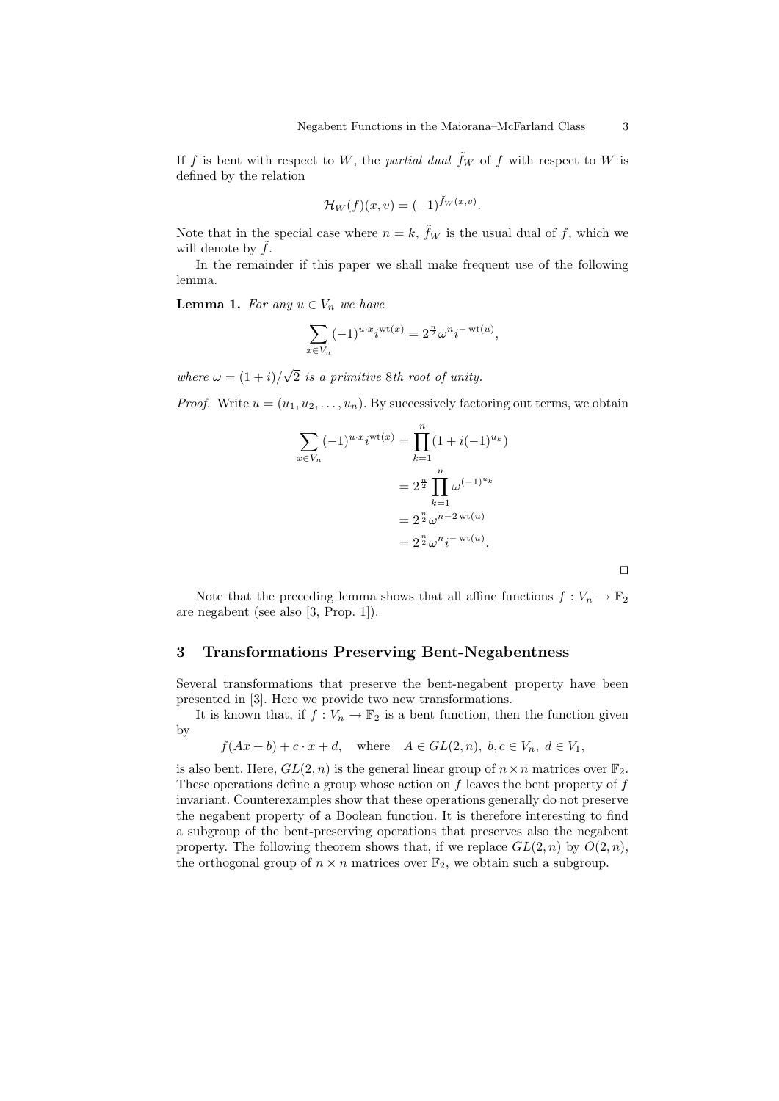If f is bent with respect to W, the partial dual  $\hat{f}_W$  of f with respect to W is defined by the relation

$$
\mathcal{H}_W(f)(x,v) = (-1)^{\tilde{f}_W(x,v)}.
$$

Note that in the special case where  $n = k$ ,  $\tilde{f}_W$  is the usual dual of f, which we will denote by  $f$ .

In the remainder if this paper we shall make frequent use of the following lemma.

**Lemma 1.** For any  $u \in V_n$  we have

$$
\sum_{x \in V_n} (-1)^{u \cdot x} i^{\operatorname{wt}(x)} = 2^{\frac{n}{2}} \omega^n i^{-\operatorname{wt}(u)},
$$

where  $\omega = (1 + i)$ √ 2 is a primitive 8th root of unity.

*Proof.* Write  $u = (u_1, u_2, \dots, u_n)$ . By successively factoring out terms, we obtain

$$
\sum_{x \in V_n} (-1)^{u \cdot x} i^{\text{wt}(x)} = \prod_{k=1}^n (1 + i(-1)^{u_k})
$$
  
=  $2^{\frac{n}{2}} \prod_{k=1}^n \omega^{(-1)^{u_k}}$   
=  $2^{\frac{n}{2}} \omega^{n-2 \text{ wt}(u)}$   
=  $2^{\frac{n}{2}} \omega^n i^{- \text{ wt}(u)}$ .

Note that the preceding lemma shows that all affine functions  $f: V_n \to \mathbb{F}_2$ are negabent (see also [3, Prop. 1]).

#### 3 Transformations Preserving Bent-Negabentness

Several transformations that preserve the bent-negabent property have been presented in [3]. Here we provide two new transformations.

It is known that, if  $f: V_n \to \mathbb{F}_2$  is a bent function, then the function given by

$$
f(Ax + b) + c \cdot x + d
$$
, where  $A \in GL(2, n)$ ,  $b, c \in V_n$ ,  $d \in V_1$ ,

is also bent. Here,  $GL(2, n)$  is the general linear group of  $n \times n$  matrices over  $\mathbb{F}_2$ . These operations define a group whose action on  $f$  leaves the bent property of  $f$ invariant. Counterexamples show that these operations generally do not preserve the negabent property of a Boolean function. It is therefore interesting to find a subgroup of the bent-preserving operations that preserves also the negabent property. The following theorem shows that, if we replace  $GL(2,n)$  by  $O(2,n)$ , the orthogonal group of  $n \times n$  matrices over  $\mathbb{F}_2$ , we obtain such a subgroup.

 $\Box$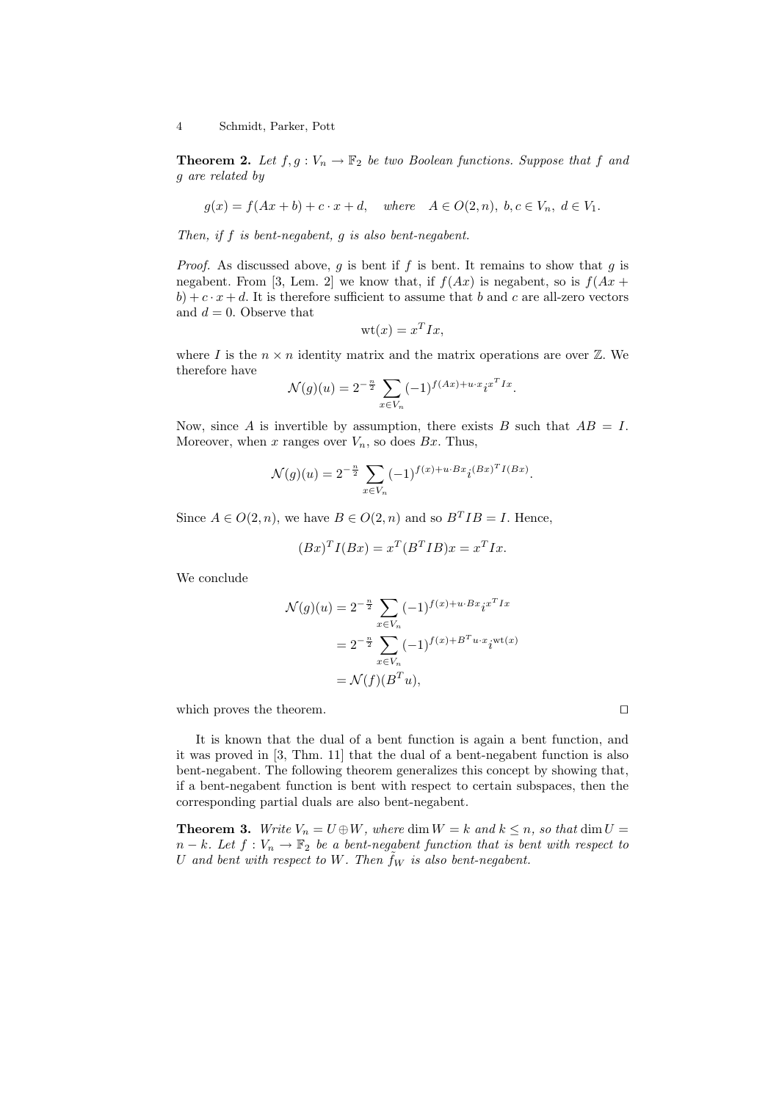**Theorem 2.** Let  $f, g: V_n \to \mathbb{F}_2$  be two Boolean functions. Suppose that f and g are related by

$$
g(x) = f(Ax + b) + c \cdot x + d, \quad where \quad A \in O(2, n), \ b, c \in V_n, \ d \in V_1.
$$

Then, if f is bent-negabent, g is also bent-negabent.

*Proof.* As discussed above, g is bent if f is bent. It remains to show that g is negabent. From [3, Lem. 2] we know that, if  $f(Ax)$  is negabent, so is  $f(Ax +$  $b) + c \cdot x + d$ . It is therefore sufficient to assume that b and c are all-zero vectors and  $d = 0$ . Observe that

$$
\mathrm{wt}(x) = x^T I x,
$$

where I is the  $n \times n$  identity matrix and the matrix operations are over  $\mathbb{Z}$ . We therefore have

$$
\mathcal{N}(g)(u) = 2^{-\frac{n}{2}} \sum_{x \in V_n} (-1)^{f(Ax) + u \cdot x} i^{x^T I x}.
$$

Now, since A is invertible by assumption, there exists B such that  $AB = I$ . Moreover, when x ranges over  $V_n$ , so does  $Bx$ . Thus,

$$
\mathcal{N}(g)(u) = 2^{-\frac{n}{2}} \sum_{x \in V_n} (-1)^{f(x) + u \cdot Bx} i^{(Bx)^T I(Bx)}.
$$

Since  $A \in O(2, n)$ , we have  $B \in O(2, n)$  and so  $B<sup>T</sup>IB = I$ . Hence,

$$
(Bx)^T I(Bx) = x^T (B^T I B)x = x^T I x.
$$

We conclude

$$
\mathcal{N}(g)(u) = 2^{-\frac{n}{2}} \sum_{x \in V_n} (-1)^{f(x) + u \cdot Bx} i^{x^T I x}
$$

$$
= 2^{-\frac{n}{2}} \sum_{x \in V_n} (-1)^{f(x) + B^T u \cdot x} i^{\text{wt}(x)}
$$

$$
= \mathcal{N}(f)(B^T u),
$$

which proves the theorem.  $\Box$ 

It is known that the dual of a bent function is again a bent function, and it was proved in [3, Thm. 11] that the dual of a bent-negabent function is also bent-negabent. The following theorem generalizes this concept by showing that, if a bent-negabent function is bent with respect to certain subspaces, then the corresponding partial duals are also bent-negabent.

**Theorem 3.** Write  $V_n = U \oplus W$ , where dim  $W = k$  and  $k \leq n$ , so that dim  $U =$  $n-k$ . Let  $f: V_n \to \mathbb{F}_2$  be a bent-negabent function that is bent with respect to U and bent with respect to W. Then  $f_W$  is also bent-negabent.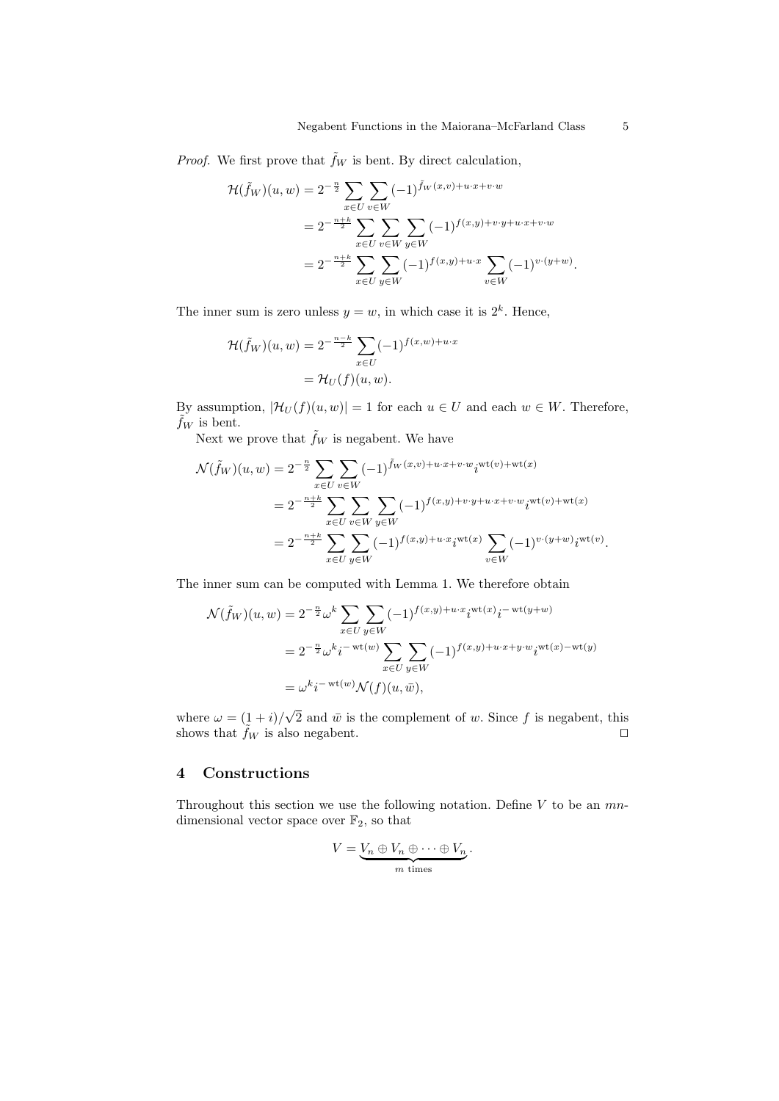*Proof.* We first prove that  $\tilde{f}_W$  is bent. By direct calculation,

$$
\mathcal{H}(\tilde{f}_W)(u, w) = 2^{-\frac{n}{2}} \sum_{x \in U} \sum_{v \in W} (-1)^{\tilde{f}_W(x, v) + u \cdot x + v \cdot w}
$$
  
=  $2^{-\frac{n+k}{2}} \sum_{x \in U} \sum_{v \in W} \sum_{y \in W} (-1)^{f(x, y) + v \cdot y + u \cdot x + v \cdot w}$   
=  $2^{-\frac{n+k}{2}} \sum_{x \in U} \sum_{y \in W} (-1)^{f(x, y) + u \cdot x} \sum_{v \in W} (-1)^{v \cdot (y + w)}.$ 

The inner sum is zero unless  $y = w$ , in which case it is  $2<sup>k</sup>$ . Hence,

$$
\mathcal{H}(\tilde{f}_W)(u, w) = 2^{-\frac{n-k}{2}} \sum_{x \in U} (-1)^{f(x, w) + u \cdot x}
$$

$$
= \mathcal{H}_U(f)(u, w).
$$

By assumption,  $|\mathcal{H}_U(f)(u, w)| = 1$  for each  $u \in U$  and each  $w \in W$ . Therefore,  $f_W$  is bent.

Next we prove that  $\tilde{f}_W$  is negabent. We have

$$
\mathcal{N}(\tilde{f}_W)(u, w) = 2^{-\frac{n}{2}} \sum_{x \in U} \sum_{v \in W} (-1)^{\tilde{f}_W(x, v) + u \cdot x + v \cdot w} i^{\text{wt}(v) + \text{wt}(x)}
$$
  
\n
$$
= 2^{-\frac{n+k}{2}} \sum_{x \in U} \sum_{v \in W} \sum_{y \in W} (-1)^{f(x, y) + v \cdot y + u \cdot x + v \cdot w} i^{\text{wt}(v) + \text{wt}(x)}
$$
  
\n
$$
= 2^{-\frac{n+k}{2}} \sum_{x \in U} \sum_{y \in W} (-1)^{f(x, y) + u \cdot x} i^{\text{wt}(x)} \sum_{v \in W} (-1)^{v \cdot (y + w)} i^{\text{wt}(v)}.
$$

The inner sum can be computed with Lemma 1. We therefore obtain

$$
\mathcal{N}(\tilde{f}_W)(u, w) = 2^{-\frac{n}{2}} \omega^k \sum_{x \in U} \sum_{y \in W} (-1)^{f(x, y) + u \cdot x} i^{\text{wt}(x)} i^{-\text{wt}(y+w)}
$$
  
\n
$$
= 2^{-\frac{n}{2}} \omega^k i^{-\text{wt}(w)} \sum_{x \in U} \sum_{y \in W} (-1)^{f(x, y) + u \cdot x + y \cdot w} i^{\text{wt}(x) - \text{wt}(y)}
$$
  
\n
$$
= \omega^k i^{-\text{wt}(w)} \mathcal{N}(f)(u, \bar{w}),
$$

where  $\omega = (1 + i)$ √ 2 and  $\bar{w}$  is the complement of w. Since f is negabent, this shows that  $\tilde{f}_W$  is also negabent.

## 4 Constructions

Throughout this section we use the following notation. Define  $V$  to be an  $mn$ dimensional vector space over  $\mathbb{F}_2$ , so that

$$
V = \underbrace{V_n \oplus V_n \oplus \cdots \oplus V_n}_{m \text{ times}}.
$$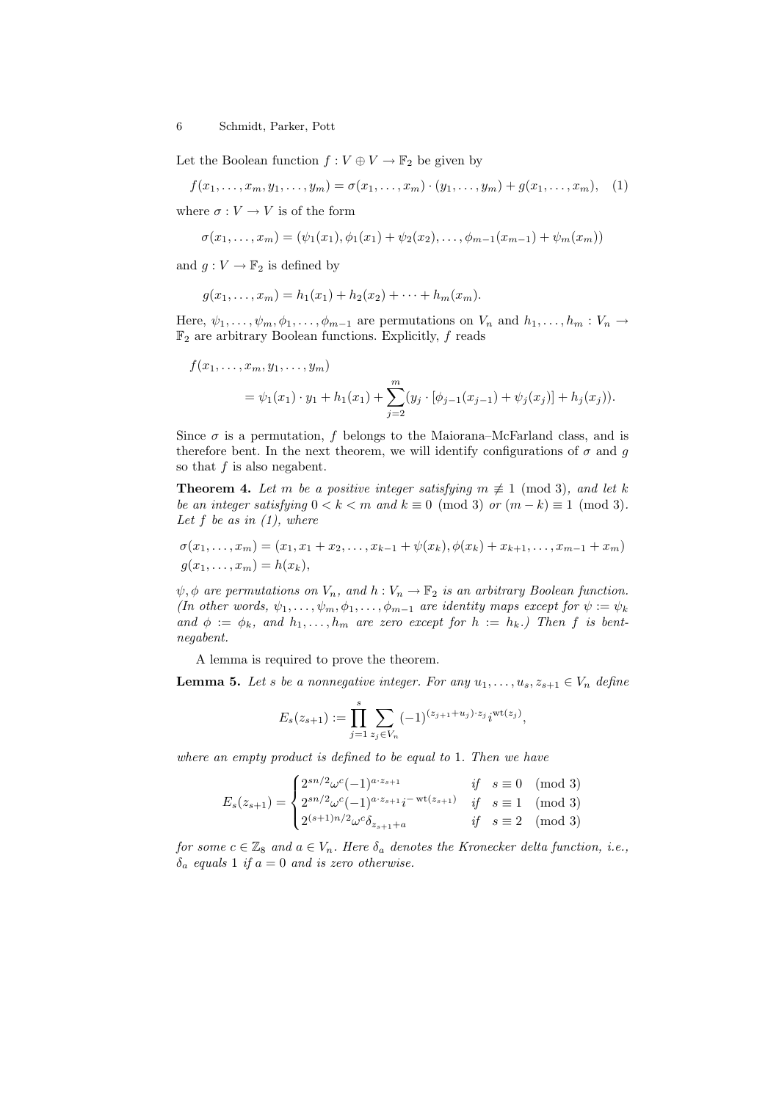Let the Boolean function  $f: V \oplus V \to \mathbb{F}_2$  be given by

$$
f(x_1,...,x_m,y_1,...,y_m) = \sigma(x_1,...,x_m) \cdot (y_1,...,y_m) + g(x_1,...,x_m), \quad (1)
$$

where  $\sigma: V \to V$  is of the form

$$
\sigma(x_1,\ldots,x_m) = (\psi_1(x_1), \phi_1(x_1) + \psi_2(x_2), \ldots, \phi_{m-1}(x_{m-1}) + \psi_m(x_m))
$$

and  $g: V \to \mathbb{F}_2$  is defined by

$$
g(x_1,...,x_m) = h_1(x_1) + h_2(x_2) + \cdots + h_m(x_m).
$$

Here,  $\psi_1, \ldots, \psi_m, \phi_1, \ldots, \phi_{m-1}$  are permutations on  $V_n$  and  $h_1, \ldots, h_m : V_n \to$  $\mathbb{F}_2$  are arbitrary Boolean functions. Explicitly, f reads

$$
f(x_1,...,x_m,y_1,...,y_m)
$$
  
=  $\psi_1(x_1) \cdot y_1 + h_1(x_1) + \sum_{j=2}^m (y_j \cdot [\phi_{j-1}(x_{j-1}) + \psi_j(x_j)] + h_j(x_j)).$ 

Since  $\sigma$  is a permutation, f belongs to the Maiorana–McFarland class, and is therefore bent. In the next theorem, we will identify configurations of  $\sigma$  and g so that  $f$  is also negabent.

**Theorem 4.** Let m be a positive integer satisfying  $m \not\equiv 1 \pmod{3}$ , and let k be an integer satisfying  $0 < k < m$  and  $k \equiv 0 \pmod{3}$  or  $(m-k) \equiv 1 \pmod{3}$ . Let  $f$  be as in  $(1)$ , where

$$
\sigma(x_1, \ldots, x_m) = (x_1, x_1 + x_2, \ldots, x_{k-1} + \psi(x_k), \phi(x_k) + x_{k+1}, \ldots, x_{m-1} + x_m)
$$
  

$$
g(x_1, \ldots, x_m) = h(x_k),
$$

 $\psi, \phi$  are permutations on  $V_n$ , and  $h: V_n \to \mathbb{F}_2$  is an arbitrary Boolean function. (In other words,  $\psi_1, \ldots, \psi_m, \phi_1, \ldots, \phi_{m-1}$  are identity maps except for  $\psi := \psi_k$ and  $\phi := \phi_k$ , and  $h_1, \ldots, h_m$  are zero except for  $h := h_k$ .) Then f is bentnegabent.

A lemma is required to prove the theorem.

**Lemma 5.** Let s be a nonnegative integer. For any  $u_1, \ldots, u_s, z_{s+1} \in V_n$  define

$$
E_s(z_{s+1}) := \prod_{j=1}^s \sum_{z_j \in V_n} (-1)^{(z_{j+1}+u_j)\cdot z_j} i^{\mathrm{wt}(z_j)},
$$

where an empty product is defined to be equal to 1. Then we have

$$
E_s(z_{s+1}) = \begin{cases} 2^{sn/2} \omega^c (-1)^{a \cdot z_{s+1}} & \text{if } s \equiv 0 \pmod{3} \\ 2^{sn/2} \omega^c (-1)^{a \cdot z_{s+1}} i^{-\text{ wt}(z_{s+1})} & \text{if } s \equiv 1 \pmod{3} \\ 2^{(s+1)n/2} \omega^c \delta_{z_{s+1}+a} & \text{if } s \equiv 2 \pmod{3} \end{cases}
$$

for some  $c \in \mathbb{Z}_8$  and  $a \in V_n$ . Here  $\delta_a$  denotes the Kronecker delta function, i.e.,  $\delta_a$  equals 1 if  $a = 0$  and is zero otherwise.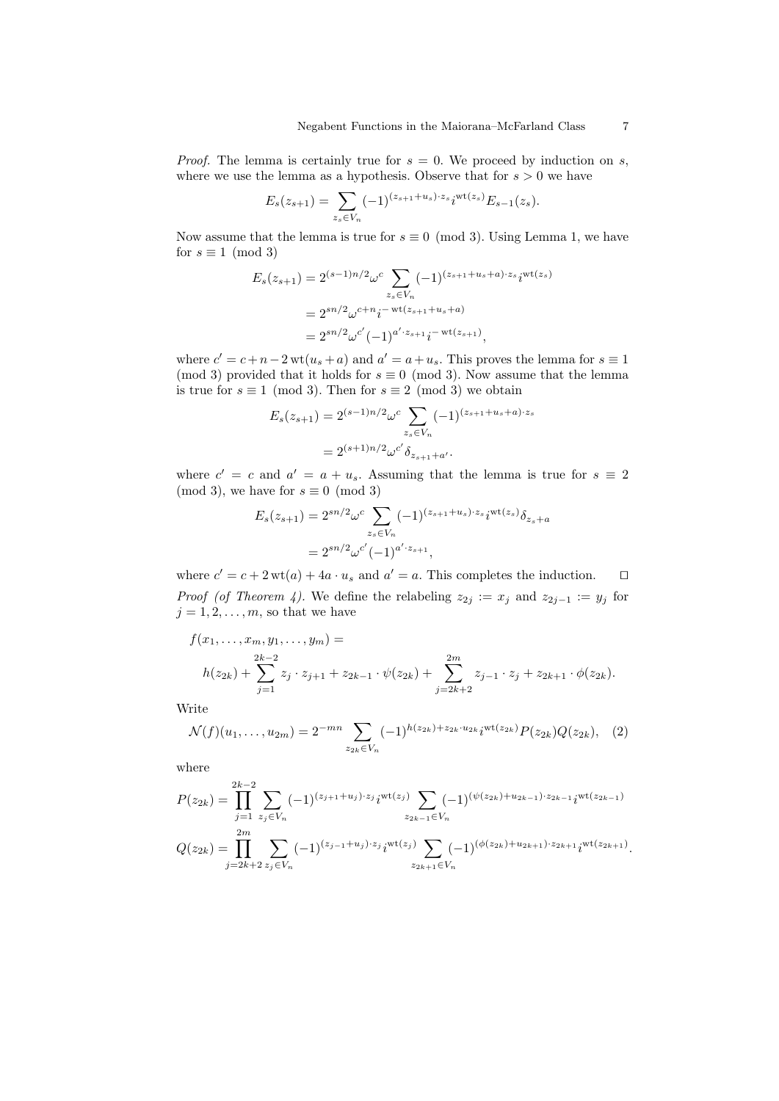*Proof.* The lemma is certainly true for  $s = 0$ . We proceed by induction on s, where we use the lemma as a hypothesis. Observe that for  $s > 0$  we have

$$
E_s(z_{s+1}) = \sum_{z_s \in V_n} (-1)^{(z_{s+1}+u_s)\cdot z_s} i^{\text{wt}(z_s)} E_{s-1}(z_s).
$$

Now assume that the lemma is true for  $s \equiv 0 \pmod{3}$ . Using Lemma 1, we have for  $s \equiv 1 \pmod{3}$ 

$$
E_s(z_{s+1}) = 2^{(s-1)n/2} \omega^c \sum_{z_s \in V_n} (-1)^{(z_{s+1}+u_s+a)\cdot z_s} i^{\text{wt}(z_s)}
$$
  
=  $2^{sn/2} \omega^{c+n} i^{-\text{wt}(z_{s+1}+u_s+a)}$   
=  $2^{sn/2} \omega^{c'} (-1)^{a'\cdot z_{s+1}} i^{-\text{wt}(z_{s+1})},$ 

where  $c' = c + n - 2 \text{ wt}(u_s + a)$  and  $a' = a + u_s$ . This proves the lemma for  $s \equiv 1$ (mod 3) provided that it holds for  $s \equiv 0 \pmod{3}$ . Now assume that the lemma is true for  $s \equiv 1 \pmod{3}$ . Then for  $s \equiv 2 \pmod{3}$  we obtain

$$
E_s(z_{s+1}) = 2^{(s-1)n/2} \omega^c \sum_{z_s \in V_n} (-1)^{(z_{s+1} + u_s + a) \cdot z_s}
$$
  
=  $2^{(s+1)n/2} \omega^{c'} \delta_{z_{s+1} + a'}$ .

where  $c' = c$  and  $a' = a + u_s$ . Assuming that the lemma is true for  $s \equiv 2$ (mod 3), we have for  $s \equiv 0 \pmod{3}$ 

$$
E_s(z_{s+1}) = 2^{sn/2} \omega^c \sum_{z_s \in V_n} (-1)^{(z_{s+1} + u_s) \cdot z_s} i^{\text{wt}(z_s)} \delta_{z_s + a}
$$
  
=  $2^{sn/2} \omega^{c'} (-1)^{a' \cdot z_{s+1}},$ 

where  $c' = c + 2 \text{ wt}(a) + 4a \cdot u_s$  and  $a' = a$ . This completes the induction. *Proof (of Theorem 4).* We define the relabeling  $z_{2j} := x_j$  and  $z_{2j-1} := y_j$  for  $j = 1, 2, \ldots, m$ , so that we have

$$
f(x_1,...,x_m,y_1,...,y_m) =
$$
  

$$
h(z_{2k}) + \sum_{j=1}^{2k-2} z_j \cdot z_{j+1} + z_{2k-1} \cdot \psi(z_{2k}) + \sum_{j=2k+2}^{2m} z_{j-1} \cdot z_j + z_{2k+1} \cdot \phi(z_{2k}).
$$

Write

$$
\mathcal{N}(f)(u_1,\ldots,u_{2m})=2^{-mn}\sum_{z_{2k}\in V_n}(-1)^{h(z_{2k})+z_{2k}\cdot u_{2k}}i^{\mathrm{wt}(z_{2k})}P(z_{2k})Q(z_{2k}),\quad(2)
$$

where

$$
P(z_{2k}) = \prod_{j=1}^{2k-2} \sum_{z_j \in V_n} (-1)^{(z_{j+1}+u_j) \cdot z_j} i^{\text{wt}(z_j)} \sum_{z_{2k-1} \in V_n} (-1)^{(\psi(z_{2k})+u_{2k-1}) \cdot z_{2k-1}} i^{\text{wt}(z_{2k-1})}
$$
  

$$
Q(z_{2k}) = \prod_{j=2k+2}^{2m} \sum_{z_j \in V_n} (-1)^{(z_{j-1}+u_j) \cdot z_j} i^{\text{wt}(z_j)} \sum_{z_{2k+1} \in V_n} (-1)^{(\phi(z_{2k})+u_{2k+1}) \cdot z_{2k+1}} i^{\text{wt}(z_{2k+1})}.
$$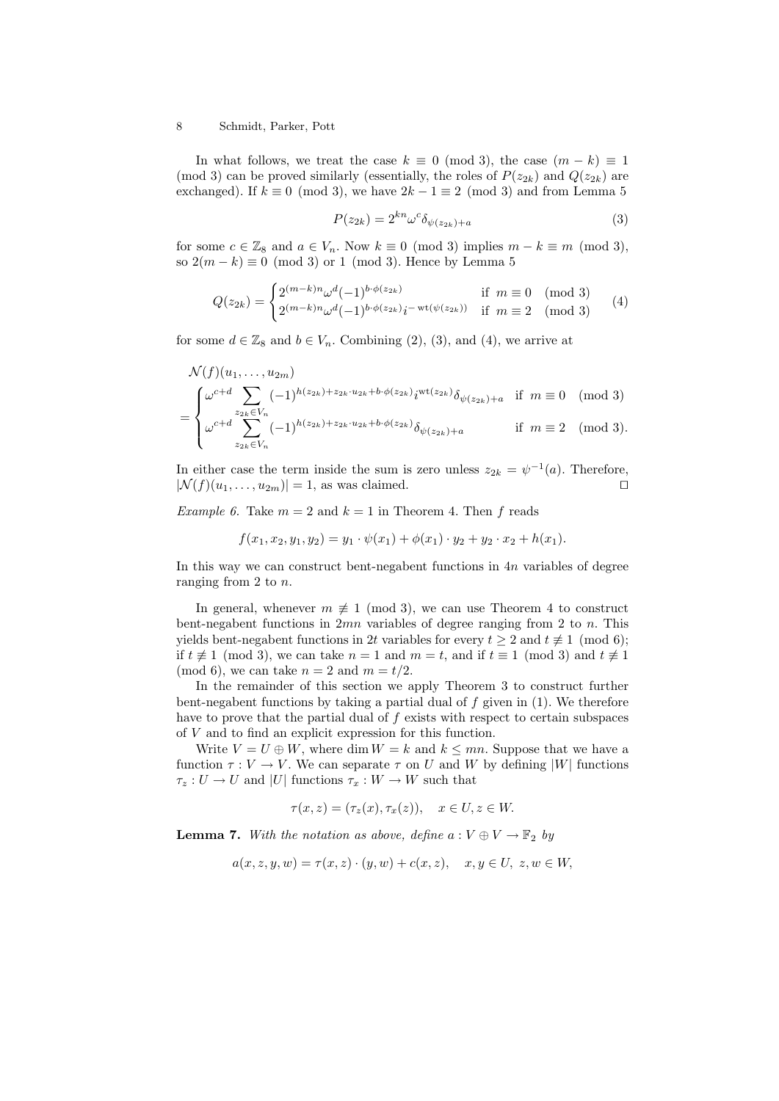In what follows, we treat the case  $k \equiv 0 \pmod{3}$ , the case  $(m - k) \equiv 1$ (mod 3) can be proved similarly (essentially, the roles of  $P(z_{2k})$  and  $Q(z_{2k})$  are exchanged). If  $k \equiv 0 \pmod{3}$ , we have  $2k - 1 \equiv 2 \pmod{3}$  and from Lemma 5

$$
P(z_{2k}) = 2^{kn} \omega^c \delta_{\psi(z_{2k}) + a} \tag{3}
$$

for some  $c \in \mathbb{Z}_8$  and  $a \in V_n$ . Now  $k \equiv 0 \pmod{3}$  implies  $m - k \equiv m \pmod{3}$ , so  $2(m - k) \equiv 0 \pmod{3}$  or 1 (mod 3). Hence by Lemma 5

$$
Q(z_{2k}) = \begin{cases} 2^{(m-k)n} \omega^d (-1)^{b \cdot \phi(z_{2k})} & \text{if } m \equiv 0 \pmod{3} \\ 2^{(m-k)n} \omega^d (-1)^{b \cdot \phi(z_{2k})} i^{-\text{ wt}(\psi(z_{2k}))} & \text{if } m \equiv 2 \pmod{3} \end{cases}
$$
(4)

for some  $d \in \mathbb{Z}_8$  and  $b \in V_n$ . Combining (2), (3), and (4), we arrive at

$$
\mathcal{N}(f)(u_1, \ldots, u_{2m})
$$
\n
$$
= \begin{cases}\n\omega^{c+d} \sum_{z_{2k} \in V_n} (-1)^{h(z_{2k}) + z_{2k} \cdot u_{2k} + b \cdot \phi(z_{2k})} i^{\text{wt}(z_{2k})} \delta_{\psi(z_{2k}) + a} & \text{if } m \equiv 0 \pmod{3} \\
\omega^{c+d} \sum_{z_{2k} \in V_n} (-1)^{h(z_{2k}) + z_{2k} \cdot u_{2k} + b \cdot \phi(z_{2k})} \delta_{\psi(z_{2k}) + a} & \text{if } m \equiv 2 \pmod{3}.\n\end{cases}
$$

In either case the term inside the sum is zero unless  $z_{2k} = \psi^{-1}(a)$ . Therefore,  $|\mathcal{N}(f)(u_1,\ldots,u_{2m})|=1$ , as was claimed.

*Example 6.* Take  $m = 2$  and  $k = 1$  in Theorem 4. Then f reads

$$
f(x_1, x_2, y_1, y_2) = y_1 \cdot \psi(x_1) + \phi(x_1) \cdot y_2 + y_2 \cdot x_2 + h(x_1).
$$

In this way we can construct bent-negabent functions in  $4n$  variables of degree ranging from 2 to n.

In general, whenever  $m \not\equiv 1 \pmod{3}$ , we can use Theorem 4 to construct bent-negabent functions in  $2mn$  variables of degree ranging from 2 to n. This yields bent-negabent functions in 2t variables for every  $t \geq 2$  and  $t \not\equiv 1 \pmod{6}$ ; if  $t \not\equiv 1 \pmod{3}$ , we can take  $n = 1$  and  $m = t$ , and if  $t \equiv 1 \pmod{3}$  and  $t \not\equiv 1$ (mod 6), we can take  $n = 2$  and  $m = t/2$ .

In the remainder of this section we apply Theorem 3 to construct further bent-negabent functions by taking a partial dual of  $f$  given in (1). We therefore have to prove that the partial dual of  $f$  exists with respect to certain subspaces of V and to find an explicit expression for this function.

Write  $V = U \oplus W$ , where dim  $W = k$  and  $k \leq mn$ . Suppose that we have a function  $\tau : V \to V$ . We can separate  $\tau$  on U and W by defining |W| functions  $\tau_z: U \to U$  and |U| functions  $\tau_x: W \to W$  such that

$$
\tau(x, z) = (\tau_z(x), \tau_x(z)), \quad x \in U, z \in W.
$$

**Lemma 7.** With the notation as above, define  $a: V \oplus V \rightarrow \mathbb{F}_2$  by

$$
a(x, z, y, w) = \tau(x, z) \cdot (y, w) + c(x, z), \quad x, y \in U, z, w \in W,
$$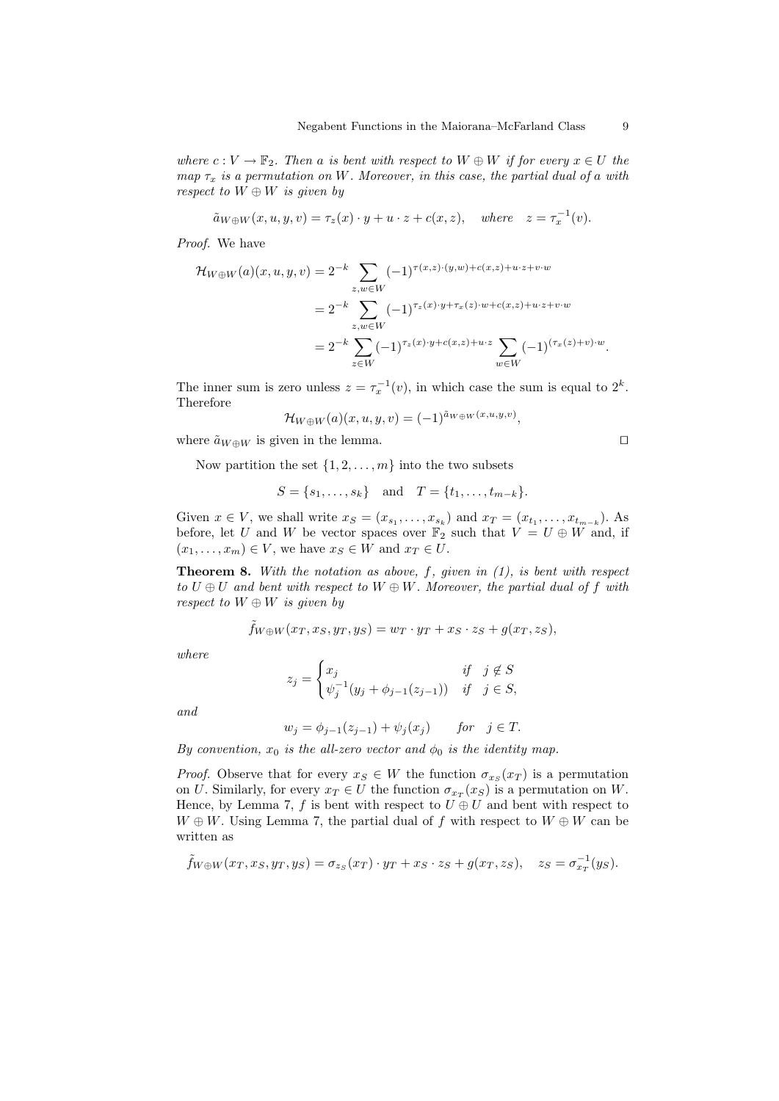where  $c: V \to \mathbb{F}_2$ . Then a is bent with respect to  $W \oplus W$  if for every  $x \in U$  the map  $\tau_x$  is a permutation on W. Moreover, in this case, the partial dual of a with respect to  $W \oplus W$  is given by

$$
\tilde{a}_{W \oplus W}(x, u, y, v) = \tau_z(x) \cdot y + u \cdot z + c(x, z), \quad \text{where} \quad z = \tau_x^{-1}(v).
$$

Proof. We have

$$
\mathcal{H}_{W \oplus W}(a)(x, u, y, v) = 2^{-k} \sum_{z, w \in W} (-1)^{\tau(x, z) \cdot (y, w) + c(x, z) + u \cdot z + v \cdot w}
$$
  
=  $2^{-k} \sum_{z, w \in W} (-1)^{\tau_z(x) \cdot y + \tau_x(z) \cdot w + c(x, z) + u \cdot z + v \cdot w}$   
=  $2^{-k} \sum_{z \in W} (-1)^{\tau_z(x) \cdot y + c(x, z) + u \cdot z} \sum_{w \in W} (-1)^{(\tau_x(z) + v) \cdot w}.$ 

The inner sum is zero unless  $z = \tau_x^{-1}(v)$ , in which case the sum is equal to  $2^k$ . Therefore

$$
\mathcal{H}_{W\oplus W}(a)(x,u,y,v) = (-1)^{\tilde{a}_{W\oplus W}(x,u,y,v)},
$$

where  $\tilde{a}_{W \oplus W}$  is given in the lemma.  $\square$ 

Now partition the set  $\{1, 2, \ldots, m\}$  into the two subsets

$$
S = \{s_1, \ldots, s_k\}
$$
 and  $T = \{t_1, \ldots, t_{m-k}\}.$ 

Given  $x \in V$ , we shall write  $x_S = (x_{s_1}, \ldots, x_{s_k})$  and  $x_T = (x_{t_1}, \ldots, x_{t_{m-k}})$ . As before, let U and W be vector spaces over  $\mathbb{F}_2$  such that  $V = U \oplus W$  and, if  $(x_1, \ldots, x_m) \in V$ , we have  $x_S \in W$  and  $x_T \in U$ .

**Theorem 8.** With the notation as above,  $f$ , given in  $(1)$ , is bent with respect to  $U \oplus U$  and bent with respect to  $W \oplus W$ . Moreover, the partial dual of f with respect to  $W \oplus W$  is given by

$$
\tilde{f}_{W \oplus W}(x_T, x_S, y_T, y_S) = w_T \cdot y_T + x_S \cdot z_S + g(x_T, z_S),
$$

where

$$
z_j = \begin{cases} x_j & \text{if } j \notin S \\ \psi_j^{-1}(y_j + \phi_{j-1}(z_{j-1})) & \text{if } j \in S, \end{cases}
$$

and

$$
w_j = \phi_{j-1}(z_{j-1}) + \psi_j(x_j)
$$
 for  $j \in T$ .

By convention,  $x_0$  is the all-zero vector and  $\phi_0$  is the identity map.

*Proof.* Observe that for every  $x_S \in W$  the function  $\sigma_{x_S}(x_T)$  is a permutation on U. Similarly, for every  $x_T \in U$  the function  $\sigma_{xx}(x_S)$  is a permutation on W. Hence, by Lemma 7, f is bent with respect to  $U \oplus U$  and bent with respect to  $W \oplus W$ . Using Lemma 7, the partial dual of f with respect to  $W \oplus W$  can be written as

$$
\tilde{f}_{W\oplus W}(x_T, x_S, y_T, y_S) = \sigma_{z_S}(x_T) \cdot y_T + x_S \cdot z_S + g(x_T, z_S), \quad z_S = \sigma_{x_T}^{-1}(y_S).
$$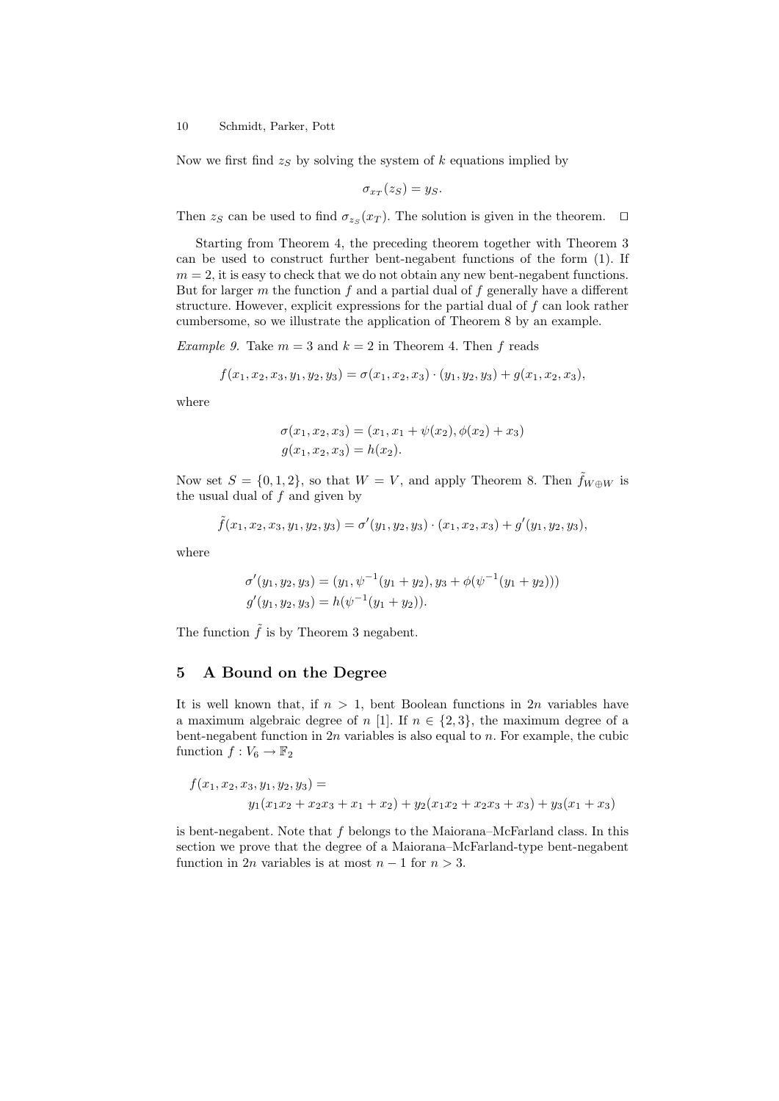Now we first find  $z<sub>S</sub>$  by solving the system of k equations implied by

$$
\sigma_{x_T}(z_S)=y_S.
$$

Then  $z_S$  can be used to find  $\sigma_{z_S}(x_T)$ . The solution is given in the theorem.  $\Box$ 

Starting from Theorem 4, the preceding theorem together with Theorem 3 can be used to construct further bent-negabent functions of the form (1). If  $m = 2$ , it is easy to check that we do not obtain any new bent-negabent functions. But for larger  $m$  the function  $f$  and a partial dual of  $f$  generally have a different structure. However, explicit expressions for the partial dual of  $f$  can look rather cumbersome, so we illustrate the application of Theorem 8 by an example.

*Example 9.* Take  $m = 3$  and  $k = 2$  in Theorem 4. Then f reads

$$
f(x_1, x_2, x_3, y_1, y_2, y_3) = \sigma(x_1, x_2, x_3) \cdot (y_1, y_2, y_3) + g(x_1, x_2, x_3),
$$

where

$$
\sigma(x_1, x_2, x_3) = (x_1, x_1 + \psi(x_2), \phi(x_2) + x_3)
$$
  

$$
g(x_1, x_2, x_3) = h(x_2).
$$

Now set  $S = \{0, 1, 2\}$ , so that  $W = V$ , and apply Theorem 8. Then  $f_{W \oplus W}$  is the usual dual of  $f$  and given by

$$
\tilde{f}(x_1, x_2, x_3, y_1, y_2, y_3) = \sigma'(y_1, y_2, y_3) \cdot (x_1, x_2, x_3) + g'(y_1, y_2, y_3),
$$

where

$$
\sigma'(y_1, y_2, y_3) = (y_1, \psi^{-1}(y_1 + y_2), y_3 + \phi(\psi^{-1}(y_1 + y_2)))
$$
  

$$
g'(y_1, y_2, y_3) = h(\psi^{-1}(y_1 + y_2)).
$$

The function  $\tilde{f}$  is by Theorem 3 negabent.

## 5 A Bound on the Degree

It is well known that, if  $n > 1$ , bent Boolean functions in  $2n$  variables have a maximum algebraic degree of n [1]. If  $n \in \{2,3\}$ , the maximum degree of a bent-negabent function in  $2n$  variables is also equal to n. For example, the cubic function  $f: V_6 \to \mathbb{F}_2$ 

$$
f(x_1, x_2, x_3, y_1, y_2, y_3) =
$$
  

$$
y_1(x_1x_2 + x_2x_3 + x_1 + x_2) + y_2(x_1x_2 + x_2x_3 + x_3) + y_3(x_1 + x_3)
$$

is bent-negabent. Note that f belongs to the Maiorana–McFarland class. In this section we prove that the degree of a Maiorana–McFarland-type bent-negabent function in 2*n* variables is at most  $n-1$  for  $n > 3$ .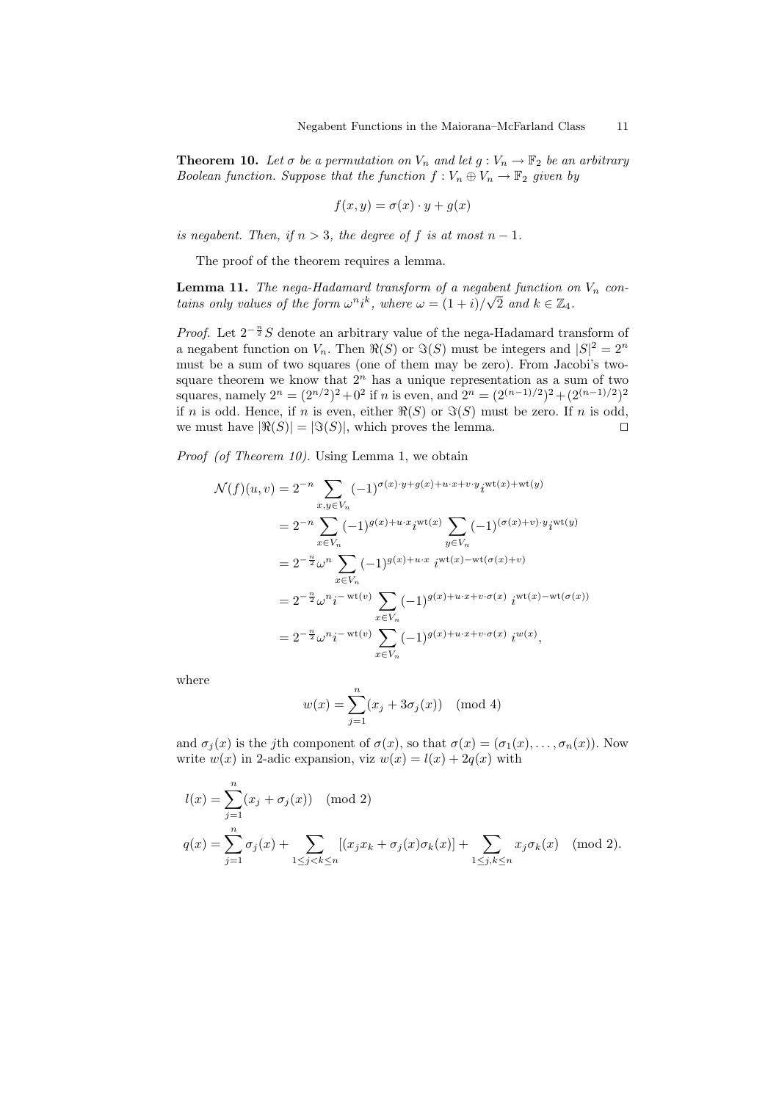**Theorem 10.** Let  $\sigma$  be a permutation on  $V_n$  and let  $g: V_n \to \mathbb{F}_2$  be an arbitrary Boolean function. Suppose that the function  $f: V_n \oplus V_n \to \mathbb{F}_2$  given by

$$
f(x, y) = \sigma(x) \cdot y + g(x)
$$

is negabent. Then, if  $n > 3$ , the degree of f is at most  $n - 1$ .

The proof of the theorem requires a lemma.

**Lemma 11.** The nega-Hadamard transform of a negabent function on  $V_n$  contains only values of the form  $\omega^n i^k$ , where  $\omega = (1+i)/\sqrt{2}$  and  $k \in \mathbb{Z}_4$ .

*Proof.* Let  $2^{-\frac{n}{2}}S$  denote an arbitrary value of the nega-Hadamard transform of a negabent function on  $V_n$ . Then  $\Re(S)$  or  $\Im(S)$  must be integers and  $|S|^2 = 2^n$ must be a sum of two squares (one of them may be zero). From Jacobi's twosquare theorem we know that  $2<sup>n</sup>$  has a unique representation as a sum of two squares, namely  $2^n = (2^{n/2})^2 + 0^2$  if *n* is even, and  $2^n = (2^{(n-1)/2})^2 + (2^{(n-1)/2})^2$ if n is odd. Hence, if n is even, either  $\Re(S)$  or  $\Im(S)$  must be zero. If n is odd, we must have  $|\Re(S)| = |\Im(S)|$ , which proves the lemma.

Proof (of Theorem 10). Using Lemma 1, we obtain

$$
\mathcal{N}(f)(u,v) = 2^{-n} \sum_{x,y \in V_n} (-1)^{\sigma(x) \cdot y + g(x) + u \cdot x + v \cdot y} i^{\text{wt}(x) + \text{wt}(y)}
$$
  
\n
$$
= 2^{-n} \sum_{x \in V_n} (-1)^{g(x) + u \cdot x} i^{\text{wt}(x)} \sum_{y \in V_n} (-1)^{(\sigma(x) + v) \cdot y} i^{\text{wt}(y)}
$$
  
\n
$$
= 2^{-\frac{n}{2}} \omega^n \sum_{x \in V_n} (-1)^{g(x) + u \cdot x} i^{\text{wt}(x) - \text{wt}(\sigma(x) + v)}
$$
  
\n
$$
= 2^{-\frac{n}{2}} \omega^n i^{-\text{wt}(v)} \sum_{x \in V_n} (-1)^{g(x) + u \cdot x + v \cdot \sigma(x)} i^{\text{wt}(x) - \text{wt}(\sigma(x))}
$$
  
\n
$$
= 2^{-\frac{n}{2}} \omega^n i^{-\text{wt}(v)} \sum_{x \in V_n} (-1)^{g(x) + u \cdot x + v \cdot \sigma(x)} i^{\text{wt}(x)},
$$

where

$$
w(x) = \sum_{j=1}^{n} (x_j + 3\sigma_j(x))
$$
 (mod 4)

and  $\sigma_i(x)$  is the jth component of  $\sigma(x)$ , so that  $\sigma(x) = (\sigma_1(x), \ldots, \sigma_n(x))$ . Now write  $w(x)$  in 2-adic expansion, viz  $w(x) = l(x) + 2q(x)$  with

$$
l(x) = \sum_{j=1}^{n} (x_j + \sigma_j(x)) \pmod{2}
$$
  
 
$$
q(x) = \sum_{j=1}^{n} \sigma_j(x) + \sum_{1 \le j < k \le n} [(x_j x_k + \sigma_j(x)\sigma_k(x)] + \sum_{1 \le j, k \le n} x_j \sigma_k(x) \pmod{2}.
$$